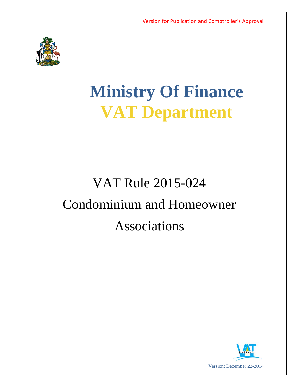

# **Ministry Of Finance VAT Department**

## VAT Rule 2015-024 Condominium and Homeowner Associations

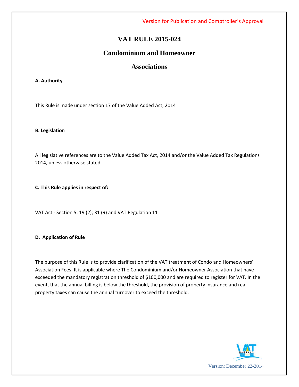Version for Publication and Comptroller's Approval

## **VAT RULE 2015-024**

## **Condominium and Homeowner**

### **Associations**

#### **A. Authority**

This Rule is made under section 17 of the Value Added Act, 2014

#### **B. Legislation**

All legislative references are to the Value Added Tax Act, 2014 and/or the Value Added Tax Regulations 2014, unless otherwise stated.

#### **C. This Rule applies in respect of:**

VAT Act - Section 5; 19 (2); 31 (9) and VAT Regulation 11

#### **D. Application of Rule**

The purpose of this Rule is to provide clarification of the VAT treatment of Condo and Homeowners' Association Fees. It is applicable where The Condominium and/or Homeowner Association that have exceeded the mandatory registration threshold of \$100,000 and are required to register for VAT. In the event, that the annual billing is below the threshold, the provision of property insurance and real property taxes can cause the annual turnover to exceed the threshold.